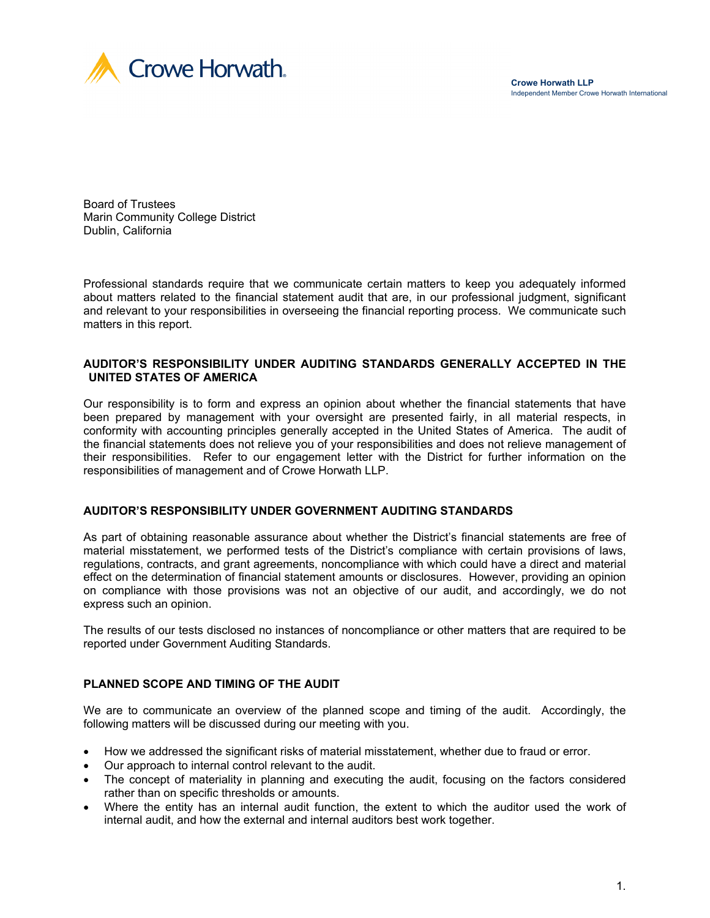

Board of Trustees Marin Community College District Dublin, California

Professional standards require that we communicate certain matters to keep you adequately informed about matters related to the financial statement audit that are, in our professional judgment, significant and relevant to your responsibilities in overseeing the financial reporting process. We communicate such matters in this report.

#### **AUDITOR'S RESPONSIBILITY UNDER AUDITING STANDARDS GENERALLY ACCEPTED IN THE UNITED STATES OF AMERICA**

Our responsibility is to form and express an opinion about whether the financial statements that have been prepared by management with your oversight are presented fairly, in all material respects, in conformity with accounting principles generally accepted in the United States of America. The audit of the financial statements does not relieve you of your responsibilities and does not relieve management of their responsibilities. Refer to our engagement letter with the District for further information on the responsibilities of management and of Crowe Horwath LLP.

## **AUDITOR'S RESPONSIBILITY UNDER GOVERNMENT AUDITING STANDARDS**

As part of obtaining reasonable assurance about whether the District's financial statements are free of material misstatement, we performed tests of the District's compliance with certain provisions of laws, regulations, contracts, and grant agreements, noncompliance with which could have a direct and material effect on the determination of financial statement amounts or disclosures. However, providing an opinion on compliance with those provisions was not an objective of our audit, and accordingly, we do not express such an opinion.

The results of our tests disclosed no instances of noncompliance or other matters that are required to be reported under Government Auditing Standards.

## **PLANNED SCOPE AND TIMING OF THE AUDIT**

We are to communicate an overview of the planned scope and timing of the audit. Accordingly, the following matters will be discussed during our meeting with you.

- How we addressed the significant risks of material misstatement, whether due to fraud or error.
- Our approach to internal control relevant to the audit.
- The concept of materiality in planning and executing the audit, focusing on the factors considered rather than on specific thresholds or amounts.
- Where the entity has an internal audit function, the extent to which the auditor used the work of internal audit, and how the external and internal auditors best work together.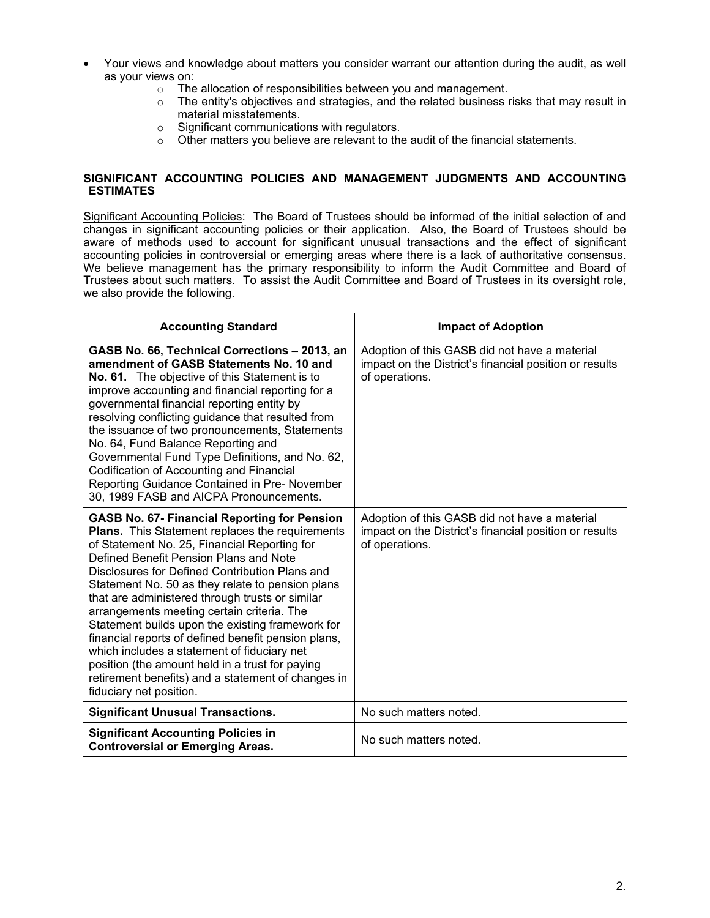- Your views and knowledge about matters you consider warrant our attention during the audit, as well as your views on:
	- o The allocation of responsibilities between you and management.
	- o The entity's objectives and strategies, and the related business risks that may result in material misstatements.
	- o Significant communications with regulators.
	- o Other matters you believe are relevant to the audit of the financial statements.

#### **SIGNIFICANT ACCOUNTING POLICIES AND MANAGEMENT JUDGMENTS AND ACCOUNTING ESTIMATES**

Significant Accounting Policies: The Board of Trustees should be informed of the initial selection of and changes in significant accounting policies or their application. Also, the Board of Trustees should be aware of methods used to account for significant unusual transactions and the effect of significant accounting policies in controversial or emerging areas where there is a lack of authoritative consensus. We believe management has the primary responsibility to inform the Audit Committee and Board of Trustees about such matters. To assist the Audit Committee and Board of Trustees in its oversight role, we also provide the following.

| <b>Accounting Standard</b>                                                                                                                                                                                                                                                                                                                                                                                                                                                                                                                                                                                                                                                                                   | <b>Impact of Adoption</b>                                                                                                 |  |  |
|--------------------------------------------------------------------------------------------------------------------------------------------------------------------------------------------------------------------------------------------------------------------------------------------------------------------------------------------------------------------------------------------------------------------------------------------------------------------------------------------------------------------------------------------------------------------------------------------------------------------------------------------------------------------------------------------------------------|---------------------------------------------------------------------------------------------------------------------------|--|--|
| GASB No. 66, Technical Corrections - 2013, an<br>amendment of GASB Statements No. 10 and<br>No. 61. The objective of this Statement is to<br>improve accounting and financial reporting for a<br>governmental financial reporting entity by<br>resolving conflicting guidance that resulted from<br>the issuance of two pronouncements, Statements<br>No. 64, Fund Balance Reporting and<br>Governmental Fund Type Definitions, and No. 62,<br>Codification of Accounting and Financial<br>Reporting Guidance Contained in Pre- November<br>30, 1989 FASB and AICPA Pronouncements.                                                                                                                          | Adoption of this GASB did not have a material<br>impact on the District's financial position or results<br>of operations. |  |  |
| <b>GASB No. 67- Financial Reporting for Pension</b><br><b>Plans.</b> This Statement replaces the requirements<br>of Statement No. 25, Financial Reporting for<br>Defined Benefit Pension Plans and Note<br>Disclosures for Defined Contribution Plans and<br>Statement No. 50 as they relate to pension plans<br>that are administered through trusts or similar<br>arrangements meeting certain criteria. The<br>Statement builds upon the existing framework for<br>financial reports of defined benefit pension plans,<br>which includes a statement of fiduciary net<br>position (the amount held in a trust for paying<br>retirement benefits) and a statement of changes in<br>fiduciary net position. | Adoption of this GASB did not have a material<br>impact on the District's financial position or results<br>of operations. |  |  |
| <b>Significant Unusual Transactions.</b>                                                                                                                                                                                                                                                                                                                                                                                                                                                                                                                                                                                                                                                                     | No such matters noted.                                                                                                    |  |  |
| <b>Significant Accounting Policies in</b><br><b>Controversial or Emerging Areas.</b>                                                                                                                                                                                                                                                                                                                                                                                                                                                                                                                                                                                                                         | No such matters noted.                                                                                                    |  |  |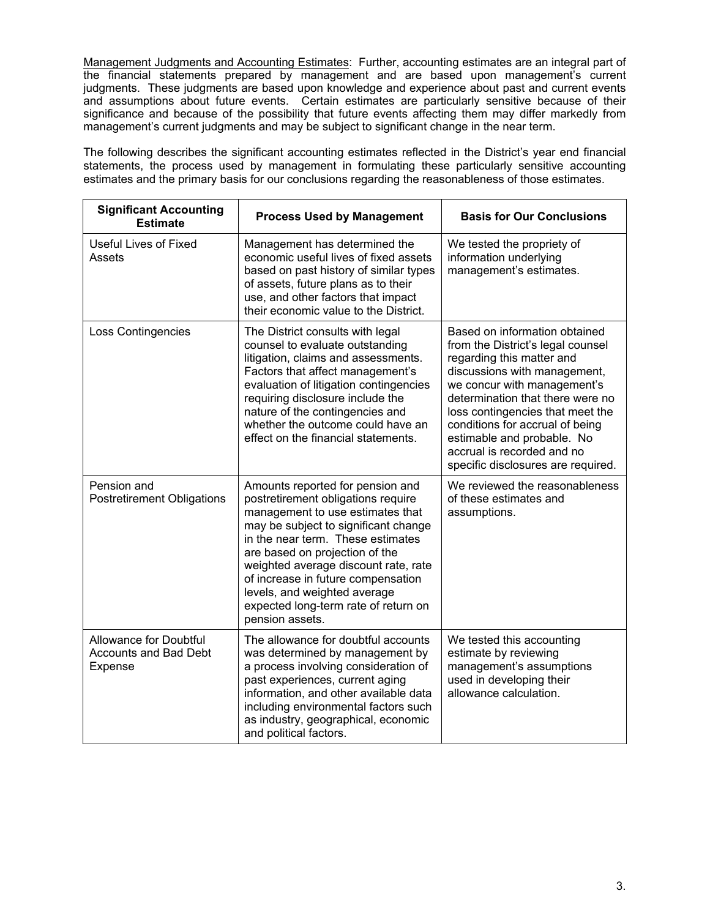Management Judgments and Accounting Estimates: Further, accounting estimates are an integral part of the financial statements prepared by management and are based upon management's current judgments. These judgments are based upon knowledge and experience about past and current events and assumptions about future events. Certain estimates are particularly sensitive because of their significance and because of the possibility that future events affecting them may differ markedly from management's current judgments and may be subject to significant change in the near term.

The following describes the significant accounting estimates reflected in the District's year end financial statements, the process used by management in formulating these particularly sensitive accounting estimates and the primary basis for our conclusions regarding the reasonableness of those estimates.

| <b>Significant Accounting</b><br><b>Estimate</b>                  | <b>Process Used by Management</b>                                                                                                                                                                                                                                                                                                                                                                  | <b>Basis for Our Conclusions</b>                                                                                                                                                                                                                                                                                                                                            |  |  |
|-------------------------------------------------------------------|----------------------------------------------------------------------------------------------------------------------------------------------------------------------------------------------------------------------------------------------------------------------------------------------------------------------------------------------------------------------------------------------------|-----------------------------------------------------------------------------------------------------------------------------------------------------------------------------------------------------------------------------------------------------------------------------------------------------------------------------------------------------------------------------|--|--|
| <b>Useful Lives of Fixed</b><br>Assets                            | Management has determined the<br>economic useful lives of fixed assets<br>based on past history of similar types<br>of assets, future plans as to their<br>use, and other factors that impact<br>their economic value to the District.                                                                                                                                                             | We tested the propriety of<br>information underlying<br>management's estimates.                                                                                                                                                                                                                                                                                             |  |  |
| Loss Contingencies                                                | The District consults with legal<br>counsel to evaluate outstanding<br>litigation, claims and assessments.<br>Factors that affect management's<br>evaluation of litigation contingencies<br>requiring disclosure include the<br>nature of the contingencies and<br>whether the outcome could have an<br>effect on the financial statements.                                                        | Based on information obtained<br>from the District's legal counsel<br>regarding this matter and<br>discussions with management,<br>we concur with management's<br>determination that there were no<br>loss contingencies that meet the<br>conditions for accrual of being<br>estimable and probable. No<br>accrual is recorded and no<br>specific disclosures are required. |  |  |
| Pension and<br><b>Postretirement Obligations</b>                  | Amounts reported for pension and<br>postretirement obligations require<br>management to use estimates that<br>may be subject to significant change<br>in the near term. These estimates<br>are based on projection of the<br>weighted average discount rate, rate<br>of increase in future compensation<br>levels, and weighted average<br>expected long-term rate of return on<br>pension assets. | We reviewed the reasonableness<br>of these estimates and<br>assumptions.                                                                                                                                                                                                                                                                                                    |  |  |
| Allowance for Doubtful<br><b>Accounts and Bad Debt</b><br>Expense | The allowance for doubtful accounts<br>was determined by management by<br>a process involving consideration of<br>past experiences, current aging<br>information, and other available data<br>including environmental factors such<br>as industry, geographical, economic<br>and political factors.                                                                                                | We tested this accounting<br>estimate by reviewing<br>management's assumptions<br>used in developing their<br>allowance calculation.                                                                                                                                                                                                                                        |  |  |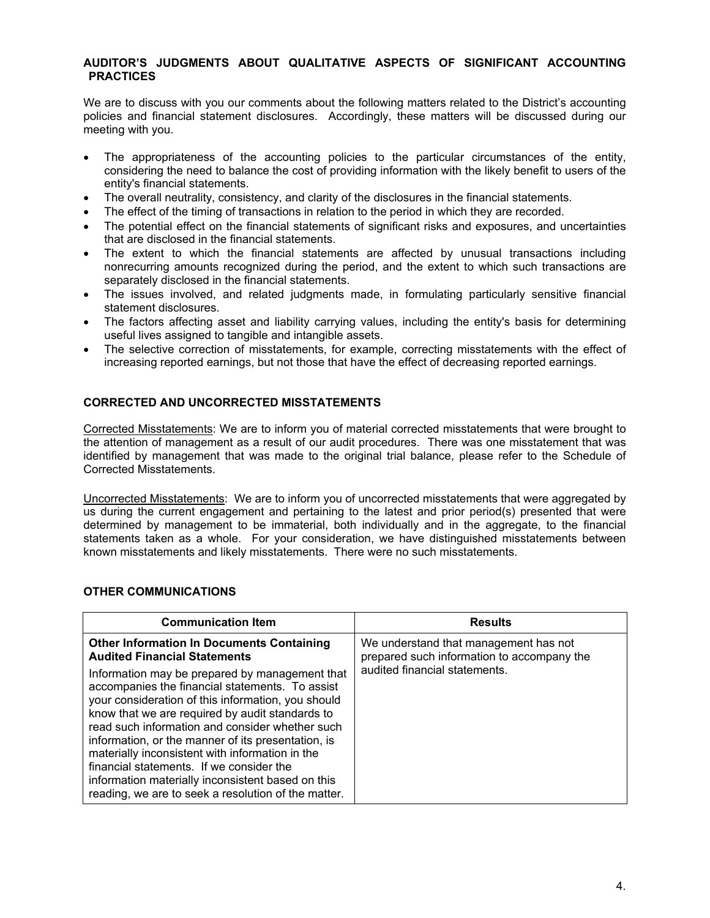## **AUDITOR'S JUDGMENTS ABOUT QUALITATIVE ASPECTS OF SIGNIFICANT ACCOUNTING PRACTICES**

We are to discuss with you our comments about the following matters related to the District's accounting policies and financial statement disclosures. Accordingly, these matters will be discussed during our meeting with you.

- The appropriateness of the accounting policies to the particular circumstances of the entity, considering the need to balance the cost of providing information with the likely benefit to users of the entity's financial statements.
- The overall neutrality, consistency, and clarity of the disclosures in the financial statements.
- The effect of the timing of transactions in relation to the period in which they are recorded.
- The potential effect on the financial statements of significant risks and exposures, and uncertainties that are disclosed in the financial statements.
- The extent to which the financial statements are affected by unusual transactions including nonrecurring amounts recognized during the period, and the extent to which such transactions are separately disclosed in the financial statements.
- The issues involved, and related judgments made, in formulating particularly sensitive financial statement disclosures.
- The factors affecting asset and liability carrying values, including the entity's basis for determining useful lives assigned to tangible and intangible assets.
- The selective correction of misstatements, for example, correcting misstatements with the effect of increasing reported earnings, but not those that have the effect of decreasing reported earnings.

## **CORRECTED AND UNCORRECTED MISSTATEMENTS**

Corrected Misstatements: We are to inform you of material corrected misstatements that were brought to the attention of management as a result of our audit procedures. There was one misstatement that was identified by management that was made to the original trial balance, please refer to the Schedule of Corrected Misstatements.

Uncorrected Misstatements: We are to inform you of uncorrected misstatements that were aggregated by us during the current engagement and pertaining to the latest and prior period(s) presented that were determined by management to be immaterial, both individually and in the aggregate, to the financial statements taken as a whole. For your consideration, we have distinguished misstatements between known misstatements and likely misstatements. There were no such misstatements.

#### **OTHER COMMUNICATIONS**

| <b>Communication Item</b>                                                                                                                                                                                                                                                                                                                                                                                                                                                                                                                                                                                                 | <b>Results</b>                                                                                                       |
|---------------------------------------------------------------------------------------------------------------------------------------------------------------------------------------------------------------------------------------------------------------------------------------------------------------------------------------------------------------------------------------------------------------------------------------------------------------------------------------------------------------------------------------------------------------------------------------------------------------------------|----------------------------------------------------------------------------------------------------------------------|
| <b>Other Information In Documents Containing</b><br><b>Audited Financial Statements</b><br>Information may be prepared by management that<br>accompanies the financial statements. To assist<br>your consideration of this information, you should<br>know that we are required by audit standards to<br>read such information and consider whether such<br>information, or the manner of its presentation, is<br>materially inconsistent with information in the<br>financial statements. If we consider the<br>information materially inconsistent based on this<br>reading, we are to seek a resolution of the matter. | We understand that management has not<br>prepared such information to accompany the<br>audited financial statements. |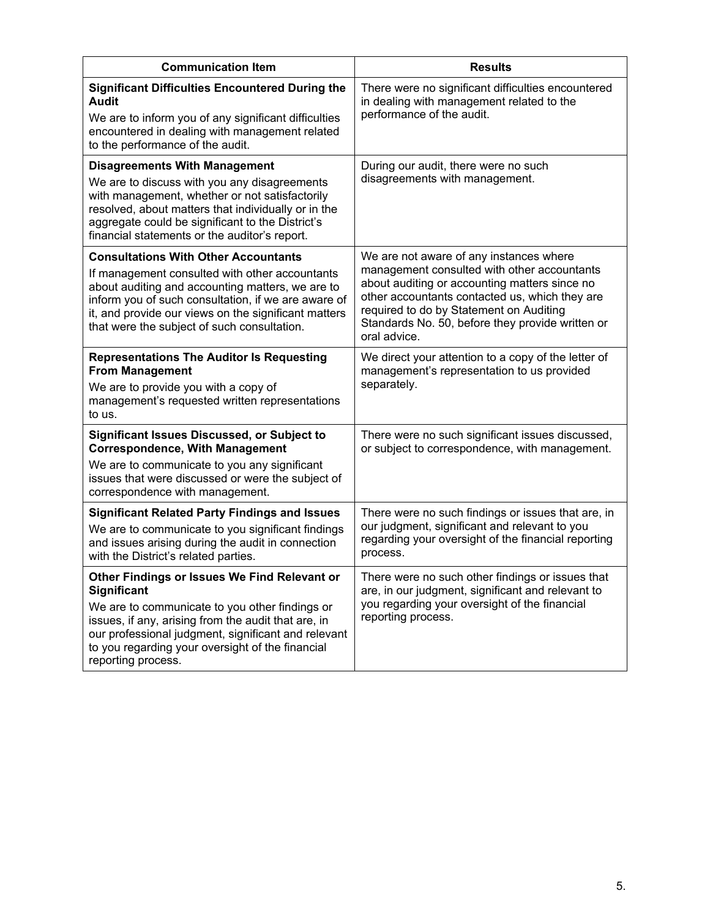| <b>Communication Item</b>                                                                                                                                                                                                                                        | <b>Results</b>                                                                                                                                                                                                                                                |  |  |
|------------------------------------------------------------------------------------------------------------------------------------------------------------------------------------------------------------------------------------------------------------------|---------------------------------------------------------------------------------------------------------------------------------------------------------------------------------------------------------------------------------------------------------------|--|--|
| <b>Significant Difficulties Encountered During the</b><br><b>Audit</b><br>We are to inform you of any significant difficulties                                                                                                                                   | There were no significant difficulties encountered<br>in dealing with management related to the<br>performance of the audit.                                                                                                                                  |  |  |
| encountered in dealing with management related<br>to the performance of the audit.                                                                                                                                                                               |                                                                                                                                                                                                                                                               |  |  |
| <b>Disagreements With Management</b>                                                                                                                                                                                                                             | During our audit, there were no such<br>disagreements with management.                                                                                                                                                                                        |  |  |
| We are to discuss with you any disagreements<br>with management, whether or not satisfactorily<br>resolved, about matters that individually or in the<br>aggregate could be significant to the District's<br>financial statements or the auditor's report.       |                                                                                                                                                                                                                                                               |  |  |
| <b>Consultations With Other Accountants</b>                                                                                                                                                                                                                      | We are not aware of any instances where                                                                                                                                                                                                                       |  |  |
| If management consulted with other accountants<br>about auditing and accounting matters, we are to<br>inform you of such consultation, if we are aware of<br>it, and provide our views on the significant matters<br>that were the subject of such consultation. | management consulted with other accountants<br>about auditing or accounting matters since no<br>other accountants contacted us, which they are<br>required to do by Statement on Auditing<br>Standards No. 50, before they provide written or<br>oral advice. |  |  |
| <b>Representations The Auditor Is Requesting</b><br><b>From Management</b>                                                                                                                                                                                       | We direct your attention to a copy of the letter of<br>management's representation to us provided<br>separately.                                                                                                                                              |  |  |
| We are to provide you with a copy of<br>management's requested written representations<br>to us.                                                                                                                                                                 |                                                                                                                                                                                                                                                               |  |  |
| <b>Significant Issues Discussed, or Subject to</b><br><b>Correspondence, With Management</b>                                                                                                                                                                     | There were no such significant issues discussed,<br>or subject to correspondence, with management.                                                                                                                                                            |  |  |
| We are to communicate to you any significant<br>issues that were discussed or were the subject of<br>correspondence with management.                                                                                                                             |                                                                                                                                                                                                                                                               |  |  |
| <b>Significant Related Party Findings and Issues</b>                                                                                                                                                                                                             | There were no such findings or issues that are, in                                                                                                                                                                                                            |  |  |
| We are to communicate to you significant findings<br>and issues arising during the audit in connection<br>with the District's related parties.                                                                                                                   | our judgment, significant and relevant to you<br>regarding your oversight of the financial reporting<br>process.                                                                                                                                              |  |  |
| Other Findings or Issues We Find Relevant or<br>Significant                                                                                                                                                                                                      | There were no such other findings or issues that<br>are, in our judgment, significant and relevant to                                                                                                                                                         |  |  |
| We are to communicate to you other findings or<br>issues, if any, arising from the audit that are, in<br>our professional judgment, significant and relevant<br>to you regarding your oversight of the financial<br>reporting process.                           | you regarding your oversight of the financial<br>reporting process.                                                                                                                                                                                           |  |  |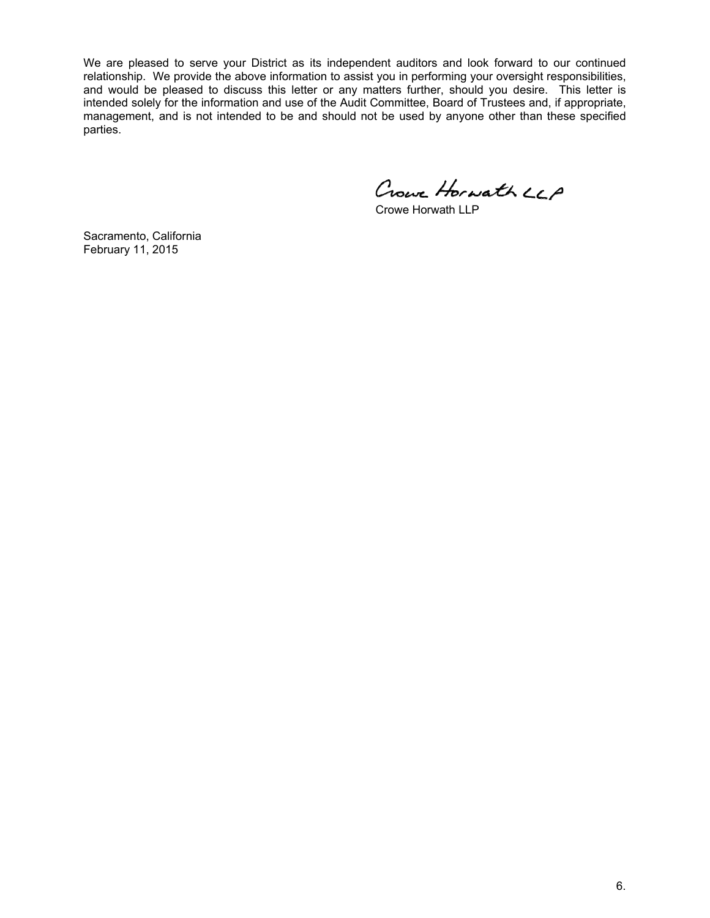We are pleased to serve your District as its independent auditors and look forward to our continued relationship. We provide the above information to assist you in performing your oversight responsibilities, and would be pleased to discuss this letter or any matters further, should you desire. This letter is intended solely for the information and use of the Audit Committee, Board of Trustees and, if appropriate, management, and is not intended to be and should not be used by anyone other than these specified parties.

Crowe Horwath LCP

Crowe Horwath LLP

Sacramento, California February 11, 2015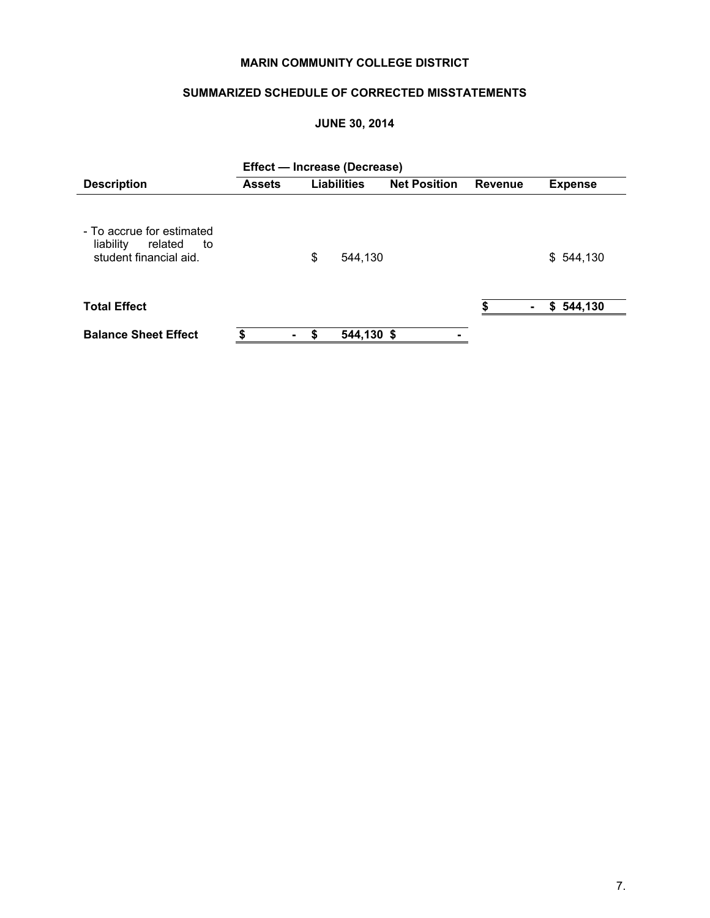# **MARIN COMMUNITY COLLEGE DISTRICT**

# **SUMMARIZED SCHEDULE OF CORRECTED MISSTATEMENTS**

## **JUNE 30, 2014**

|                                                                                   | Effect - Increase (Decrease) |    |                    |                     |         |                |  |
|-----------------------------------------------------------------------------------|------------------------------|----|--------------------|---------------------|---------|----------------|--|
| <b>Description</b>                                                                | <b>Assets</b>                |    | <b>Liabilities</b> | <b>Net Position</b> | Revenue | <b>Expense</b> |  |
| - To accrue for estimated<br>liability<br>related<br>to<br>student financial aid. |                              | \$ | 544,130            |                     |         | \$544,130      |  |
| <b>Total Effect</b>                                                               |                              |    |                    |                     |         | \$544,130      |  |
| <b>Balance Sheet Effect</b>                                                       |                              | S  | 544,130 \$         |                     |         |                |  |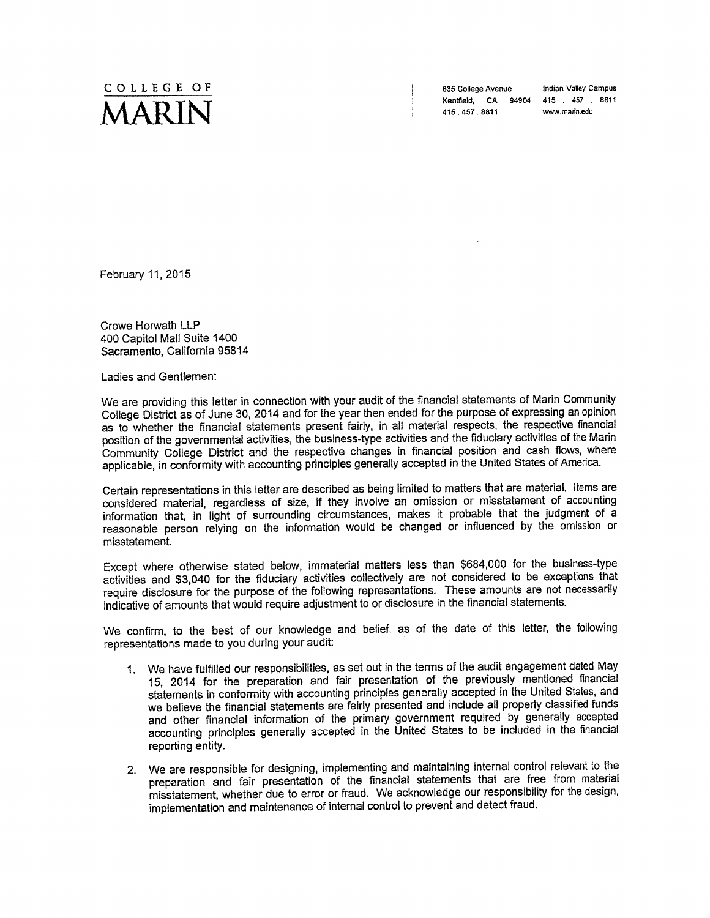

835 College Avenue Kentfield, CA 94904 415 457 8811 415 457 8811

Indian Valley Campus www.marin.edu

February 11, 2015

Crowe Horwath LLP 400 Capitol Mall Suite 1400 Sacramento, California 95814

Ladies and Gentlemen:

We are providing this letter in connection with your audit of the financial statements of Marin Community College District as of June 30, 2014 and for the year then ended for the purpose of expressing an opinion as to whether the financial statements present fairly, in all material respects, the respective financial position of the governmental activities, the business-type activities and the fiduciary activities of the Marin Community College District and the respective changes in financial position and cash flows, where applicable, in conformity with accounting principles generally accepted in the United States of America.

Certain representations in this letter are described as being limited to matters that are material. Items are considered material, regardless of size, if they involve an omission or misstatement of accounting information that, in light of surrounding circumstances, makes it probable that the judgment of a reasonable person relying on the information would be changed or influenced by the omission or misstatement.

Except where otherwise stated below, immaterial matters less than \$684,000 for the business-type activities and \$3,040 for the fiduciary activities collectively are not considered to be exceptions that require disclosure for the purpose of the following representations. These amounts are not necessarily indicative of amounts that would require adjustment to or disclosure in the financial statements.

We confirm, to the best of our knowledge and belief, as of the date of this letter, the following representations made to you during your audit:

- 1. We have fulfilled our responsibilities, as set out in the terms of the audit engagement dated May 15, 2014 for the preparation and fair presentation of the previously mentioned financial statements in conformity with accounting principles generally accepted in the United States, and we believe the financial statements are fairly presented and include all properly classified funds and other financial information of the primary government required by generally accepted accounting principles generally accepted in the United States to be included in the financial reporting entity.
- 2. We are responsible for designing, implementing and maintaining internal control relevant to the preparation and fair presentation of the financial statements that are free from material misstatement, whether due to error or fraud. We acknowledge our responsibility for the design, implementation and maintenance of internal control to prevent and detect fraud.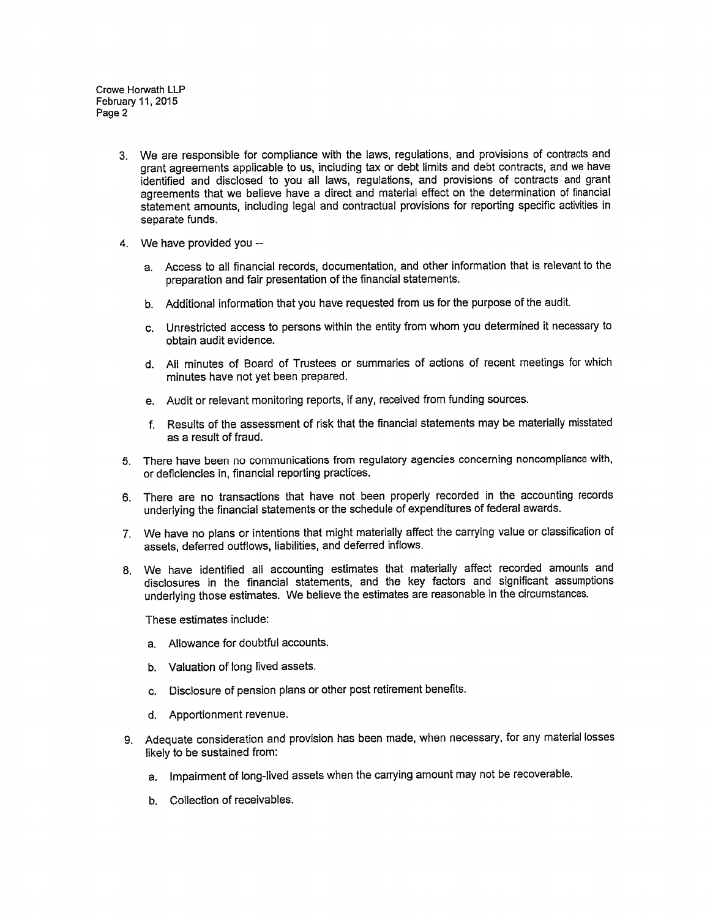- 3. We are responsible for compliance with the laws, regulations, and provisions of contracts and grant agreements applicable to us, including tax or debt limits and debt contracts, and we have identified and disclosed to you all laws, regulations, and provisions of contracts and grant agreements that we believe have a direct and material effect on the determination of financial statement amounts, including legal and contractual provisions for reporting specific activities in separate funds.
- 4. We have provided you -
	- a. Access to all financial records, documentation, and other information that is relevant to the preparation and fair presentation of the financial statements.
	- b. Additional information that you have requested from us for the purpose of the audit.
	- c. Unrestricted access to persons within the entity from whom you determined it necessary to obtain audit evidence.
	- d. All minutes of Board of Trustees or summaries of actions of recent meetings for which minutes have not yet been prepared.
	- e. Audit or relevant monitoring reports, if any, received from funding sources.
	- f. Results of the assessment of risk that the financial statements may be materially misstated as a result of fraud.
- 5. There have been no communications from regulatory agencies concerning noncompliance with, or deficiencies in, financial reporting practices.
- 6. There are no transactions that have not been properly recorded in the accounting records underlying the financial statements or the schedule of expenditures of federal awards.
- 7. We have no plans or intentions that might materially affect the carrying value or classification of assets, deferred outflows, liabilities, and deferred inflows.
- 8. We have identified all accounting estimates that materially affect recorded amounts and disclosures in the financial statements, and the key factors and significant assumptions underlying those estimates. We believe the estimates are reasonable in the circumstances.

These estimates include:

- a. Allowance for doubtful accounts.
- b. Valuation of long lived assets.
- Disclosure of pension plans or other post retirement benefits. C.
- d. Apportionment revenue.
- 9. Adequate consideration and provision has been made, when necessary, for any material losses likely to be sustained from:
	- a. Impairment of long-lived assets when the carrying amount may not be recoverable.
	- b. Collection of receivables.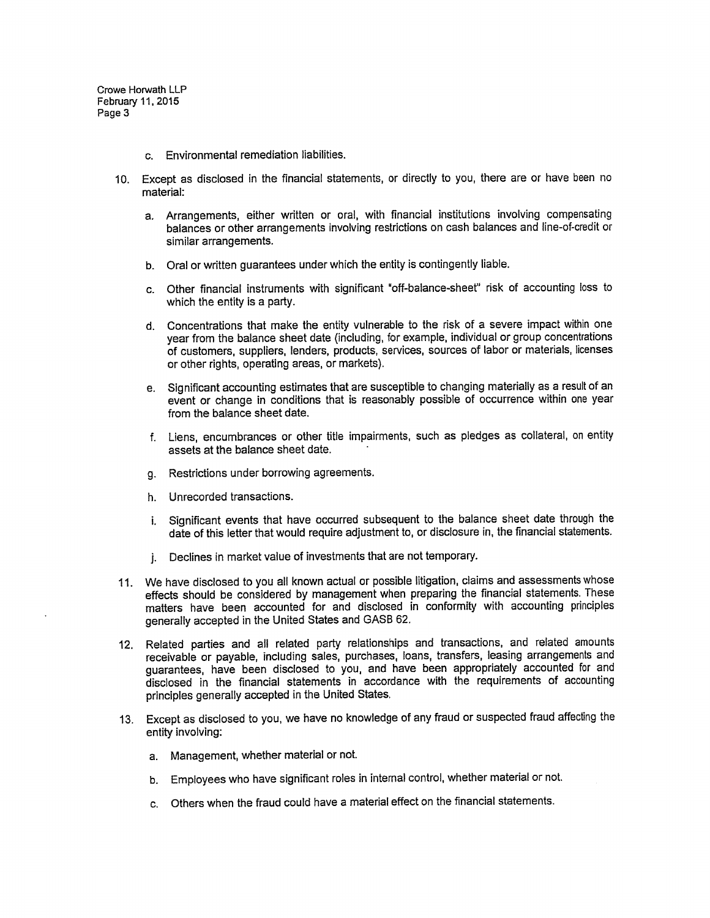- c. Environmental remediation liabilities.
- 10. Except as disclosed in the financial statements, or directly to you, there are or have been no material:
	- a. Arrangements, either written or oral, with financial institutions involving compensating balances or other arrangements involving restrictions on cash balances and line-of-credit or similar arrangements.
	- b. Oral or written guarantees under which the entity is contingently liable.
	- c. Other financial instruments with significant "off-balance-sheet" risk of accounting loss to which the entity is a party.
	- d. Concentrations that make the entity vulnerable to the risk of a severe impact within one year from the balance sheet date (including, for example, individual or group concentrations of customers, suppliers, lenders, products, services, sources of labor or materials, licenses or other rights, operating areas, or markets).
	- e. Significant accounting estimates that are susceptible to changing materially as a result of an event or change in conditions that is reasonably possible of occurrence within one year from the balance sheet date.
	- f. Liens, encumbrances or other title impairments, such as pledges as collateral, on entity assets at the balance sheet date.
	- Restrictions under borrowing agreements.  $q_{\star}$
	- h. Unrecorded transactions.
	- i. Significant events that have occurred subsequent to the balance sheet date through the date of this letter that would require adjustment to, or disclosure in, the financial statements.
	- Declines in market value of investments that are not temporary. i.
- 11. We have disclosed to you all known actual or possible litigation, claims and assessments whose effects should be considered by management when preparing the financial statements. These matters have been accounted for and disclosed in conformity with accounting principles generally accepted in the United States and GASB 62.
- 12. Related parties and all related party relationships and transactions, and related amounts receivable or payable, including sales, purchases, loans, transfers, leasing arrangements and guarantees, have been disclosed to you, and have been appropriately accounted for and disclosed in the financial statements in accordance with the requirements of accounting principles generally accepted in the United States.
- 13. Except as disclosed to you, we have no knowledge of any fraud or suspected fraud affecting the entity involving:
	- a. Management, whether material or not.
	- Employees who have significant roles in internal control, whether material or not. b.
	- c. Others when the fraud could have a material effect on the financial statements.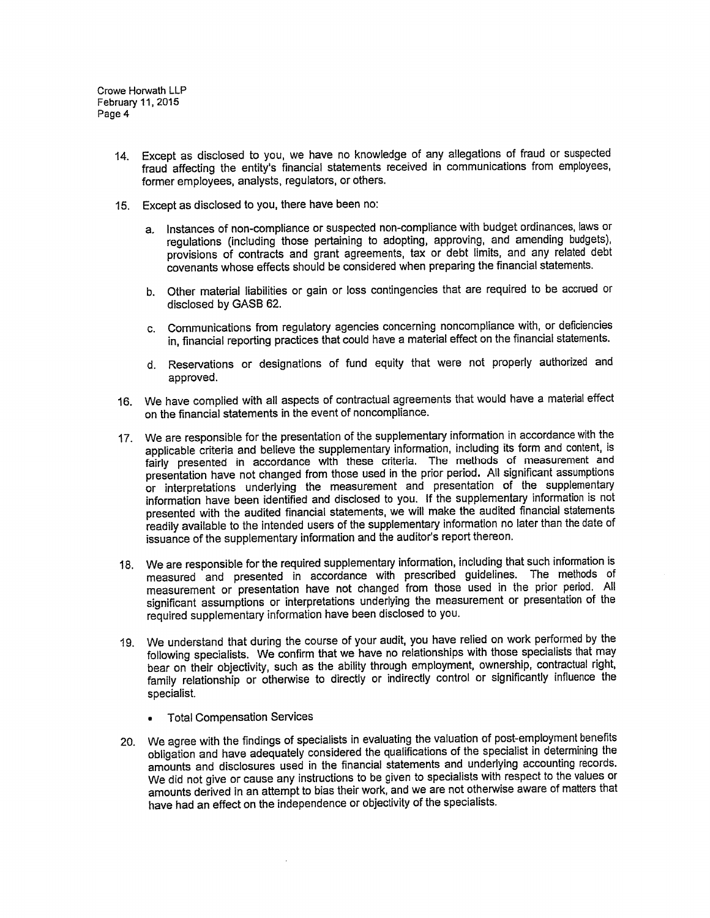- 14. Except as disclosed to you, we have no knowledge of any allegations of fraud or suspected fraud affecting the entity's financial statements received in communications from employees, former employees, analysts, regulators, or others.
- 15. Except as disclosed to you, there have been no:
	- Instances of non-compliance or suspected non-compliance with budget ordinances, laws or a. regulations (including those pertaining to adopting, approving, and amending budgets), provisions of contracts and grant agreements, tax or debt limits, and any related debt covenants whose effects should be considered when preparing the financial statements.
	- Other material liabilities or gain or loss contingencies that are required to be accrued or  $b.$ disclosed by GASB 62.
	- Communications from regulatory agencies concerning noncompliance with, or deficiencies  $c_{\cdot}$ in, financial reporting practices that could have a material effect on the financial statements.
	- d. Reservations or designations of fund equity that were not properly authorized and approved.
- 16. We have complied with all aspects of contractual agreements that would have a material effect on the financial statements in the event of noncompliance.
- 17. We are responsible for the presentation of the supplementary information in accordance with the applicable criteria and believe the supplementary information, including its form and content, is fairly presented in accordance with these criteria. The methods of measurement and presentation have not changed from those used in the prior period. All significant assumptions or interpretations underlying the measurement and presentation of the supplementary information have been identified and disclosed to you. If the supplementary information is not presented with the audited financial statements, we will make the audited financial statements readily available to the intended users of the supplementary information no later than the date of issuance of the supplementary information and the auditor's report thereon.
- 18. We are responsible for the required supplementary information, including that such information is measured and presented in accordance with prescribed guidelines. The methods of measurement or presentation have not changed from those used in the prior period. All significant assumptions or interpretations underlying the measurement or presentation of the required supplementary information have been disclosed to you.
- 19. We understand that during the course of your audit, you have relied on work performed by the following specialists. We confirm that we have no relationships with those specialists that may bear on their objectivity, such as the ability through employment, ownership, contractual right, family relationship or otherwise to directly or indirectly control or significantly influence the specialist.
	- **Total Compensation Services**
- 20. We agree with the findings of specialists in evaluating the valuation of post-employment benefits obligation and have adequately considered the qualifications of the specialist in determining the amounts and disclosures used in the financial statements and underlying accounting records. We did not give or cause any instructions to be given to specialists with respect to the values or amounts derived in an attempt to bias their work, and we are not otherwise aware of matters that have had an effect on the independence or objectivity of the specialists.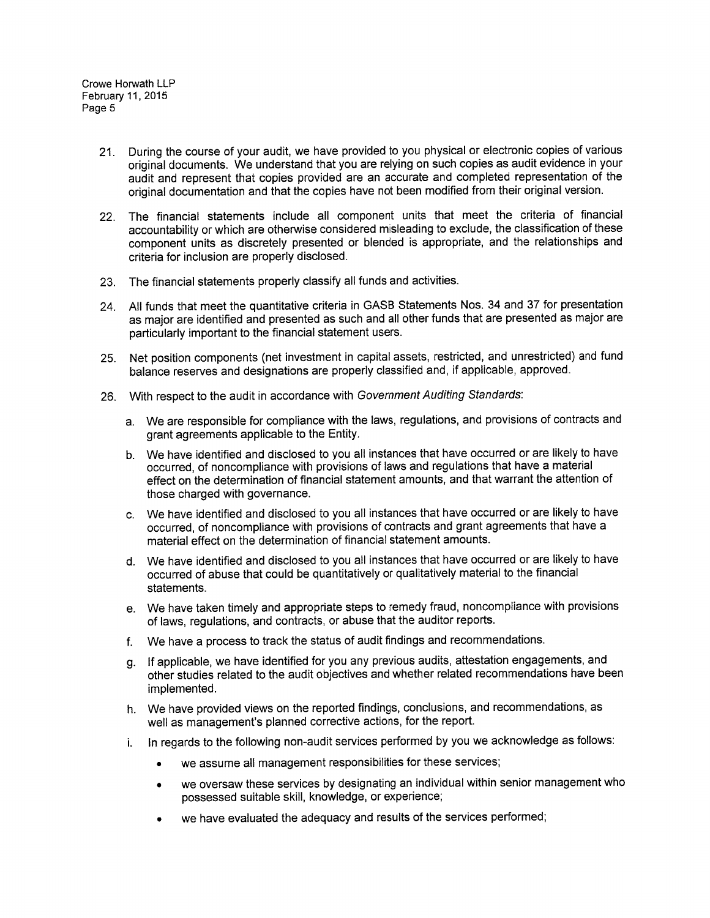- 21. During the course of your audit, we have provided to you physical or electronic copies of various original documents. We understand that you are relying on such copies as audit evidence in your audit and represent that copies provided are an accurate and completed representation of the original documentation and that the copies have not been modified from their original version.
- 22. The financial statements include all component units that meet the criteria of financial accountability or which are otherwise considered misleading to exclude, the classification of these component units as discretely presented or blended is appropriate, and the relationships and criteria for inclusion are properly disclosed.
- 23. The financial statements properly classify all funds and activities.
- 24. All funds that meet the quantitative criteria in GASB Statements Nos. 34 and 37 for presentation as major are identified and presented as such and all other funds that are presented as major are particularly important to the financial statement users.
- 25. Net position components (net investment in capital assets, restricted, and unrestricted) and fund balance reserves and designations are properly classified and, if applicable, approved.
- 26. With respect to the audit in accordance with Government Auditing Standards:
	- a. We are responsible for compliance with the laws, regulations, and provisions of contracts and grant agreements applicable to the Entity.
	- b. We have identified and disclosed to you all instances that have occurred or are likely to have occurred, of noncompliance with provisions of laws and regulations that have a material effect on the determination of financial statement amounts, and that warrant the attention of those charged with governance.
	- c. We have identified and disclosed to you all instances that have occurred or are likely to have occurred, of noncompliance with provisions of contracts and grant agreements that have a material effect on the determination of financial statement amounts.
	- d. We have identified and disclosed to you all instances that have occurred or are likely to have occurred of abuse that could be quantitatively or qualitatively material to the financial statements.
	- e. We have taken timely and appropriate steps to remedy fraud, noncompliance with provisions of laws, regulations, and contracts, or abuse that the auditor reports.
	- f. We have a process to track the status of audit findings and recommendations.
	- g. If applicable, we have identified for you any previous audits, attestation engagements, and other studies related to the audit objectives and whether related recommendations have been implemented.
	- h. We have provided views on the reported findings, conclusions, and recommendations, as well as management's planned corrective actions, for the report.
	- In regards to the following non-audit services performed by you we acknowledge as follows: i.
		- we assume all management responsibilities for these services;  $\bullet$
		- we oversaw these services by designating an individual within senior management who  $\bullet$ possessed suitable skill, knowledge, or experience;
		- we have evaluated the adequacy and results of the services performed;  $\bullet$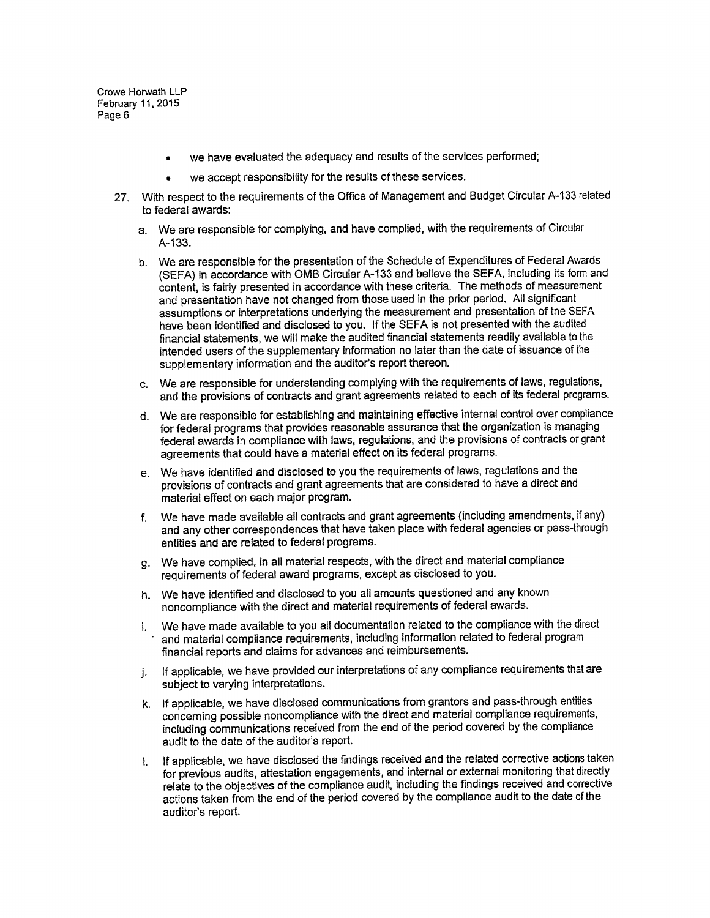- we have evaluated the adequacy and results of the services performed;
- we accept responsibility for the results of these services.  $\bullet$
- 27. With respect to the requirements of the Office of Management and Budget Circular A-133 related to federal awards:
	- a. We are responsible for complying, and have complied, with the requirements of Circular A-133.
	- b. We are responsible for the presentation of the Schedule of Expenditures of Federal Awards (SEFA) in accordance with OMB Circular A-133 and believe the SEFA, including its form and content, is fairly presented in accordance with these criteria. The methods of measurement and presentation have not changed from those used in the prior period. All significant assumptions or interpretations underlying the measurement and presentation of the SEFA have been identified and disclosed to you. If the SEFA is not presented with the audited financial statements, we will make the audited financial statements readily available to the intended users of the supplementary information no later than the date of issuance of the supplementary information and the auditor's report thereon.
	- c. We are responsible for understanding complying with the requirements of laws, regulations, and the provisions of contracts and grant agreements related to each of its federal programs.
	- d. We are responsible for establishing and maintaining effective internal control over compliance for federal programs that provides reasonable assurance that the organization is managing federal awards in compliance with laws, regulations, and the provisions of contracts or grant agreements that could have a material effect on its federal programs.
	- e. We have identified and disclosed to you the requirements of laws, regulations and the provisions of contracts and grant agreements that are considered to have a direct and material effect on each major program.
	- f. We have made available all contracts and grant agreements (including amendments, if any) and any other correspondences that have taken place with federal agencies or pass-through entities and are related to federal programs.
	- g. We have complied, in all material respects, with the direct and material compliance requirements of federal award programs, except as disclosed to you.
	- h. We have identified and disclosed to you all amounts questioned and any known noncompliance with the direct and material requirements of federal awards.
	- i. We have made available to you all documentation related to the compliance with the direct and material compliance requirements, including information related to federal program financial reports and claims for advances and reimbursements.
	- j. If applicable, we have provided our interpretations of any compliance requirements that are subject to varying interpretations.
	- k. If applicable, we have disclosed communications from grantors and pass-through entities concerning possible noncompliance with the direct and material compliance requirements, including communications received from the end of the period covered by the compliance audit to the date of the auditor's report.
	- If applicable, we have disclosed the findings received and the related corrective actions taken L for previous audits, attestation engagements, and internal or external monitoring that directly relate to the objectives of the compliance audit, including the findings received and corrective actions taken from the end of the period covered by the compliance audit to the date of the auditor's report.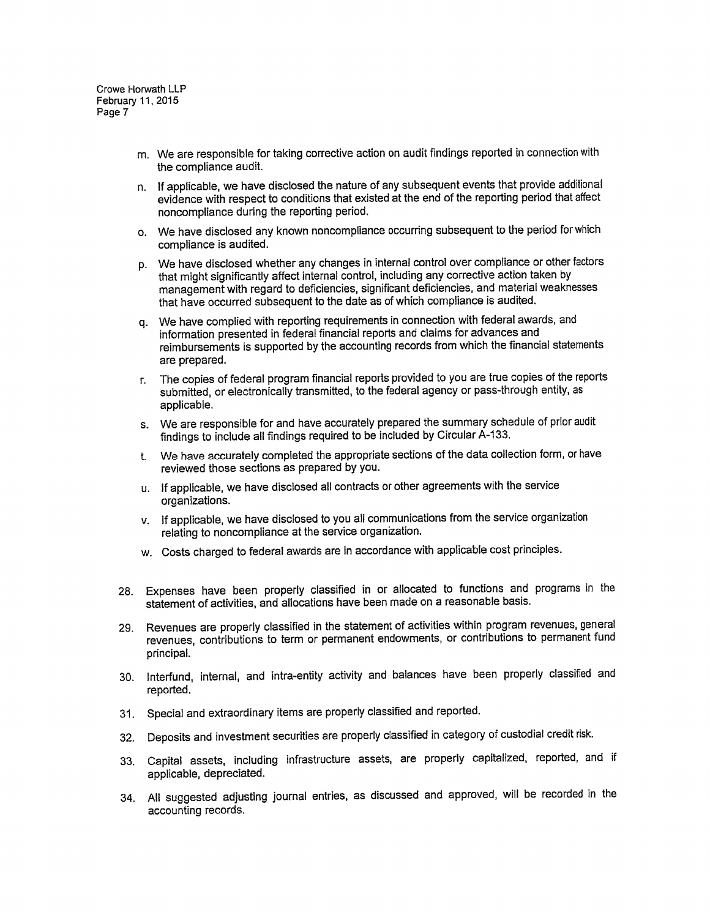- m. We are responsible for taking corrective action on audit findings reported in connection with the compliance audit.
- n. If applicable, we have disclosed the nature of any subsequent events that provide additional evidence with respect to conditions that existed at the end of the reporting period that affect noncompliance during the reporting period.
- o. We have disclosed any known noncompliance occurring subsequent to the period for which compliance is audited.
- p. We have disclosed whether any changes in internal control over compliance or other factors that might significantly affect internal control, including any corrective action taken by management with regard to deficiencies, significant deficiencies, and material weaknesses that have occurred subsequent to the date as of which compliance is audited.
- q. We have complied with reporting requirements in connection with federal awards, and information presented in federal financial reports and claims for advances and reimbursements is supported by the accounting records from which the financial statements are prepared.
- r. The copies of federal program financial reports provided to you are true copies of the reports submitted, or electronically transmitted, to the federal agency or pass-through entity, as applicable.
- s. We are responsible for and have accurately prepared the summary schedule of prior audit findings to include all findings required to be included by Circular A-133.
- t. We have accurately completed the appropriate sections of the data collection form, or have reviewed those sections as prepared by you.
- u. If applicable, we have disclosed all contracts or other agreements with the service organizations.
- v. If applicable, we have disclosed to you all communications from the service organization relating to noncompliance at the service organization.
- w. Costs charged to federal awards are in accordance with applicable cost principles.
- 28. Expenses have been properly classified in or allocated to functions and programs in the statement of activities, and allocations have been made on a reasonable basis.
- 29. Revenues are properly classified in the statement of activities within program revenues, general revenues, contributions to term or permanent endowments, or contributions to permanent fund principal.
- 30. Interfund, internal, and intra-entity activity and balances have been properly classified and reported.
- 31. Special and extraordinary items are properly classified and reported.
- 32. Deposits and investment securities are properly classified in category of custodial credit risk.
- 33. Capital assets, including infrastructure assets, are properly capitalized, reported, and if applicable, depreciated.
- 34. All suggested adjusting journal entries, as discussed and approved, will be recorded in the accounting records.